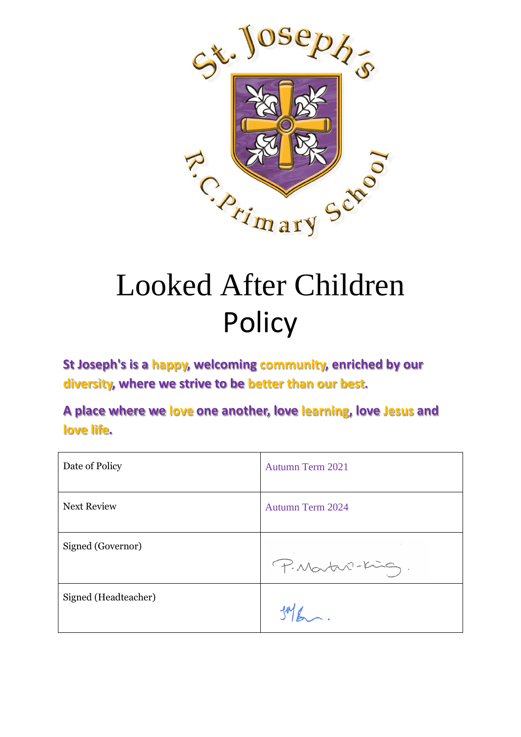

# Looked After Children Policy

**St Joseph's is a happy, welcoming community, enriched by our diversity, where we strive to be better than our best.**

**A place where we love one another, love learning, love Jesus and love life.**

| Date of Policy       | <b>Autumn Term 2021</b> |
|----------------------|-------------------------|
| <b>Next Review</b>   | <b>Autumn Term 2024</b> |
| Signed (Governor)    | P. Martin-King.         |
| Signed (Headteacher) |                         |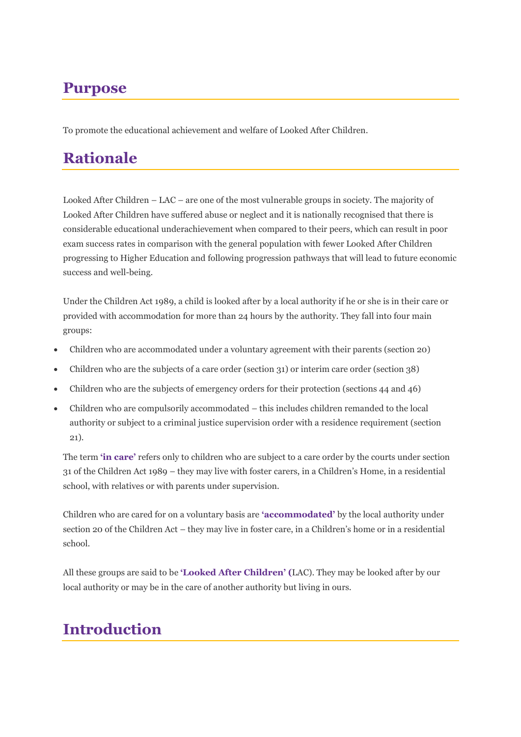# **Purpose**

To promote the educational achievement and welfare of Looked After Children.

# **Rationale**

Looked After Children – LAC – are one of the most vulnerable groups in society. The majority of Looked After Children have suffered abuse or neglect and it is nationally recognised that there is considerable educational underachievement when compared to their peers, which can result in poor exam success rates in comparison with the general population with fewer Looked After Children progressing to Higher Education and following progression pathways that will lead to future economic success and well-being.

Under the Children Act 1989, a child is looked after by a local authority if he or she is in their care or provided with accommodation for more than 24 hours by the authority. They fall into four main groups:

- Children who are accommodated under a voluntary agreement with their parents (section 20)
- Children who are the subjects of a care order (section 31) or interim care order (section 38)
- Children who are the subjects of emergency orders for their protection (sections 44 and 46)
- Children who are compulsorily accommodated this includes children remanded to the local authority or subject to a criminal justice supervision order with a residence requirement (section 21).

The term **'in care'** refers only to children who are subject to a care order by the courts under section 31 of the Children Act 1989 – they may live with foster carers, in a Children's Home, in a residential school, with relatives or with parents under supervision.

Children who are cared for on a voluntary basis are **'accommodated'** by the local authority under section 20 of the Children Act – they may live in foster care, in a Children's home or in a residential school.

All these groups are said to be **'Looked After Children' (**LAC). They may be looked after by our local authority or may be in the care of another authority but living in ours.

### **Introduction**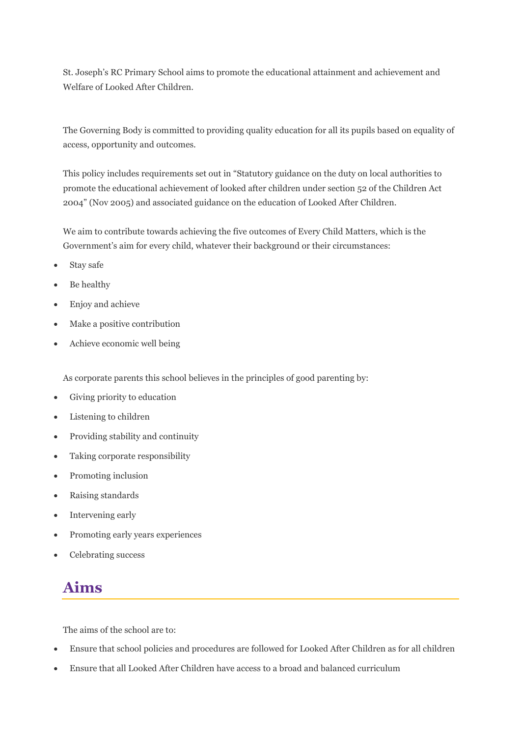St. Joseph's RC Primary School aims to promote the educational attainment and achievement and Welfare of Looked After Children.

The Governing Body is committed to providing quality education for all its pupils based on equality of access, opportunity and outcomes.

This policy includes requirements set out in "Statutory guidance on the duty on local authorities to promote the educational achievement of looked after children under section 52 of the Children Act 2004" (Nov 2005) and associated guidance on the education of Looked After Children.

We aim to contribute towards achieving the five outcomes of Every Child Matters, which is the Government's aim for every child, whatever their background or their circumstances:

- Stay safe
- Be healthy
- Enjoy and achieve
- Make a positive contribution
- Achieve economic well being

As corporate parents this school believes in the principles of good parenting by:

- Giving priority to education
- Listening to children
- Providing stability and continuity
- Taking corporate responsibility
- Promoting inclusion
- Raising standards
- Intervening early
- Promoting early years experiences
- Celebrating success

### **Aims**

The aims of the school are to:

- Ensure that school policies and procedures are followed for Looked After Children as for all children
- Ensure that all Looked After Children have access to a broad and balanced curriculum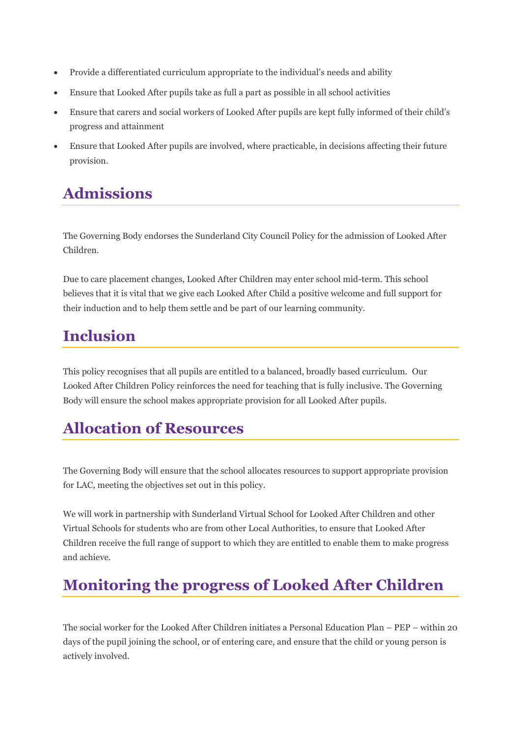- Provide a differentiated curriculum appropriate to the individual's needs and ability
- Ensure that Looked After pupils take as full a part as possible in all school activities
- Ensure that carers and social workers of Looked After pupils are kept fully informed of their child's progress and attainment
- Ensure that Looked After pupils are involved, where practicable, in decisions affecting their future provision.

### **Admissions**

The Governing Body endorses the Sunderland City Council Policy for the admission of Looked After Children.

Due to care placement changes, Looked After Children may enter school mid-term. This school believes that it is vital that we give each Looked After Child a positive welcome and full support for their induction and to help them settle and be part of our learning community.

### **Inclusion**

This policy recognises that all pupils are entitled to a balanced, broadly based curriculum. Our Looked After Children Policy reinforces the need for teaching that is fully inclusive. The Governing Body will ensure the school makes appropriate provision for all Looked After pupils.

### **Allocation of Resources**

The Governing Body will ensure that the school allocates resources to support appropriate provision for LAC, meeting the objectives set out in this policy.

We will work in partnership with Sunderland Virtual School for Looked After Children and other Virtual Schools for students who are from other Local Authorities, to ensure that Looked After Children receive the full range of support to which they are entitled to enable them to make progress and achieve.

### **Monitoring the progress of Looked After Children**

The social worker for the Looked After Children initiates a Personal Education Plan – PEP – within 20 days of the pupil joining the school, or of entering care, and ensure that the child or young person is actively involved.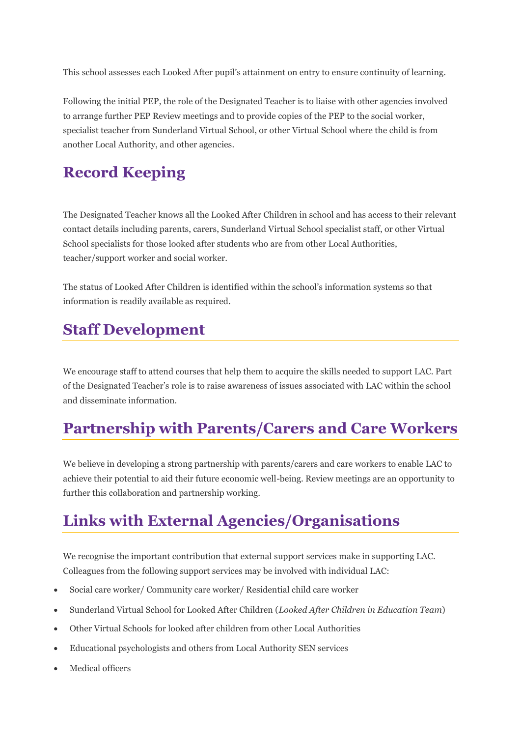This school assesses each Looked After pupil's attainment on entry to ensure continuity of learning.

Following the initial PEP, the role of the Designated Teacher is to liaise with other agencies involved to arrange further PEP Review meetings and to provide copies of the PEP to the social worker, specialist teacher from Sunderland Virtual School, or other Virtual School where the child is from another Local Authority, and other agencies.

### **Record Keeping**

The Designated Teacher knows all the Looked After Children in school and has access to their relevant contact details including parents, carers, Sunderland Virtual School specialist staff, or other Virtual School specialists for those looked after students who are from other Local Authorities, teacher/support worker and social worker.

The status of Looked After Children is identified within the school's information systems so that information is readily available as required.

### **Staff Development**

We encourage staff to attend courses that help them to acquire the skills needed to support LAC. Part of the Designated Teacher's role is to raise awareness of issues associated with LAC within the school and disseminate information.

### **Partnership with Parents/Carers and Care Workers**

We believe in developing a strong partnership with parents/carers and care workers to enable LAC to achieve their potential to aid their future economic well-being. Review meetings are an opportunity to further this collaboration and partnership working.

# **Links with External Agencies/Organisations**

We recognise the important contribution that external support services make in supporting LAC. Colleagues from the following support services may be involved with individual LAC:

- Social care worker/ Community care worker/ Residential child care worker
- Sunderland Virtual School for Looked After Children (*Looked After Children in Education Team*)
- Other Virtual Schools for looked after children from other Local Authorities
- Educational psychologists and others from Local Authority SEN services
- Medical officers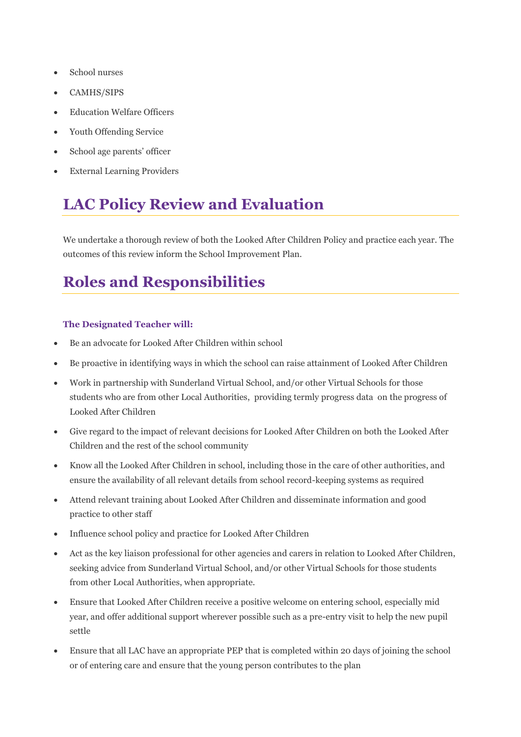- School nurses
- CAMHS/SIPS
- Education Welfare Officers
- Youth Offending Service
- School age parents' officer
- External Learning Providers

# **LAC Policy Review and Evaluation**

We undertake a thorough review of both the Looked After Children Policy and practice each year. The outcomes of this review inform the School Improvement Plan.

# **Roles and Responsibilities**

#### **The Designated Teacher will:**

- Be an advocate for Looked After Children within school
- Be proactive in identifying ways in which the school can raise attainment of Looked After Children
- Work in partnership with Sunderland Virtual School, and/or other Virtual Schools for those students who are from other Local Authorities, providing termly progress data on the progress of Looked After Children
- Give regard to the impact of relevant decisions for Looked After Children on both the Looked After Children and the rest of the school community
- Know all the Looked After Children in school, including those in the care of other authorities, and ensure the availability of all relevant details from school record-keeping systems as required
- Attend relevant training about Looked After Children and disseminate information and good practice to other staff
- Influence school policy and practice for Looked After Children
- Act as the key liaison professional for other agencies and carers in relation to Looked After Children, seeking advice from Sunderland Virtual School, and/or other Virtual Schools for those students from other Local Authorities, when appropriate.
- Ensure that Looked After Children receive a positive welcome on entering school, especially mid year, and offer additional support wherever possible such as a pre-entry visit to help the new pupil settle
- Ensure that all LAC have an appropriate PEP that is completed within 20 days of joining the school or of entering care and ensure that the young person contributes to the plan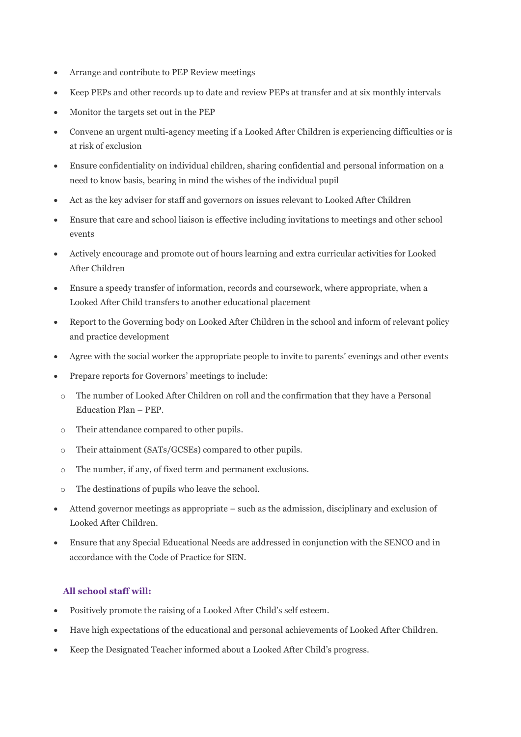- Arrange and contribute to PEP Review meetings
- Keep PEPs and other records up to date and review PEPs at transfer and at six monthly intervals
- Monitor the targets set out in the PEP
- Convene an urgent multi-agency meeting if a Looked After Children is experiencing difficulties or is at risk of exclusion
- Ensure confidentiality on individual children, sharing confidential and personal information on a need to know basis, bearing in mind the wishes of the individual pupil
- Act as the key adviser for staff and governors on issues relevant to Looked After Children
- Ensure that care and school liaison is effective including invitations to meetings and other school events
- Actively encourage and promote out of hours learning and extra curricular activities for Looked After Children
- Ensure a speedy transfer of information, records and coursework, where appropriate, when a Looked After Child transfers to another educational placement
- Report to the Governing body on Looked After Children in the school and inform of relevant policy and practice development
- Agree with the social worker the appropriate people to invite to parents' evenings and other events
- Prepare reports for Governors' meetings to include:
- o The number of Looked After Children on roll and the confirmation that they have a Personal Education Plan – PEP.
- o Their attendance compared to other pupils.
- o Their attainment (SATs/GCSEs) compared to other pupils.
- o The number, if any, of fixed term and permanent exclusions.
- o The destinations of pupils who leave the school.
- Attend governor meetings as appropriate such as the admission, disciplinary and exclusion of Looked After Children.
- Ensure that any Special Educational Needs are addressed in conjunction with the SENCO and in accordance with the Code of Practice for SEN.

#### **All school staff will:**

- Positively promote the raising of a Looked After Child's self esteem.
- Have high expectations of the educational and personal achievements of Looked After Children.
- Keep the Designated Teacher informed about a Looked After Child's progress.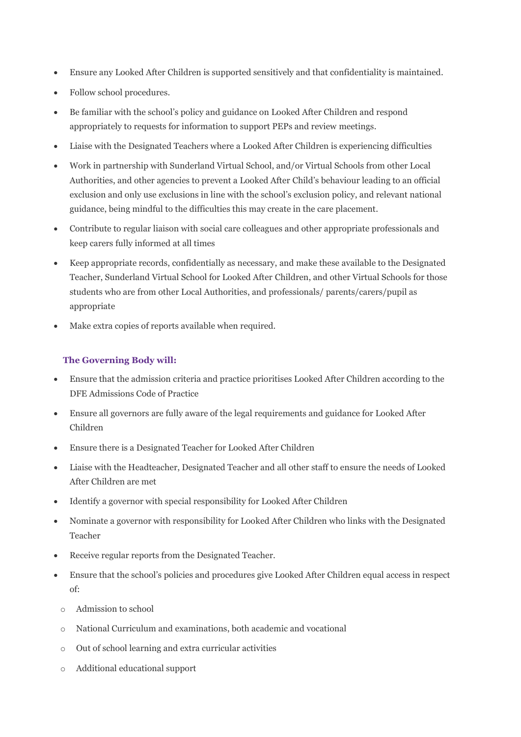- Ensure any Looked After Children is supported sensitively and that confidentiality is maintained.
- Follow school procedures.
- Be familiar with the school's policy and guidance on Looked After Children and respond appropriately to requests for information to support PEPs and review meetings.
- Liaise with the Designated Teachers where a Looked After Children is experiencing difficulties
- Work in partnership with Sunderland Virtual School, and/or Virtual Schools from other Local Authorities, and other agencies to prevent a Looked After Child's behaviour leading to an official exclusion and only use exclusions in line with the school's exclusion policy, and relevant national guidance, being mindful to the difficulties this may create in the care placement.
- Contribute to regular liaison with social care colleagues and other appropriate professionals and keep carers fully informed at all times
- Keep appropriate records, confidentially as necessary, and make these available to the Designated Teacher, Sunderland Virtual School for Looked After Children, and other Virtual Schools for those students who are from other Local Authorities, and professionals/ parents/carers/pupil as appropriate
- Make extra copies of reports available when required.

#### **The Governing Body will:**

- Ensure that the admission criteria and practice prioritises Looked After Children according to the DFE Admissions Code of Practice
- Ensure all governors are fully aware of the legal requirements and guidance for Looked After Children
- Ensure there is a Designated Teacher for Looked After Children
- Liaise with the Headteacher, Designated Teacher and all other staff to ensure the needs of Looked After Children are met
- Identify a governor with special responsibility for Looked After Children
- Nominate a governor with responsibility for Looked After Children who links with the Designated Teacher
- Receive regular reports from the Designated Teacher.
- Ensure that the school's policies and procedures give Looked After Children equal access in respect of:
	- o Admission to school
	- o National Curriculum and examinations, both academic and vocational
	- o Out of school learning and extra curricular activities
	- o Additional educational support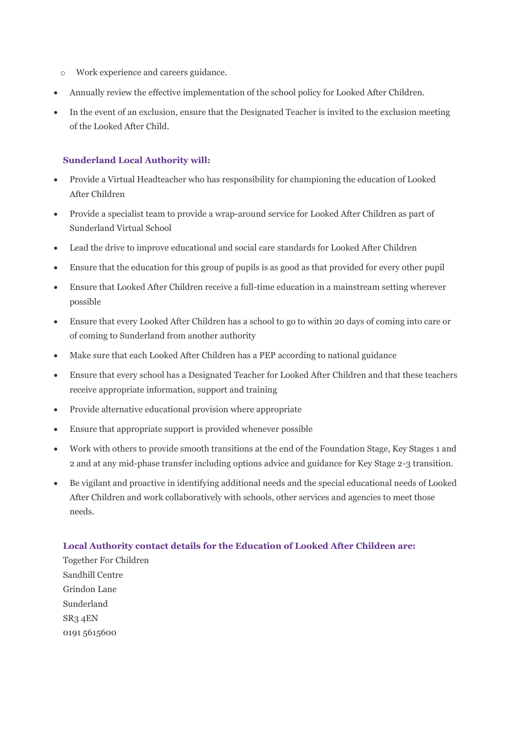- o Work experience and careers guidance.
- Annually review the effective implementation of the school policy for Looked After Children.
- In the event of an exclusion, ensure that the Designated Teacher is invited to the exclusion meeting of the Looked After Child.

#### **Sunderland Local Authority will:**

- Provide a Virtual Headteacher who has responsibility for championing the education of Looked After Children
- Provide a specialist team to provide a wrap-around service for Looked After Children as part of Sunderland Virtual School
- Lead the drive to improve educational and social care standards for Looked After Children
- Ensure that the education for this group of pupils is as good as that provided for every other pupil
- Ensure that Looked After Children receive a full-time education in a mainstream setting wherever possible
- Ensure that every Looked After Children has a school to go to within 20 days of coming into care or of coming to Sunderland from another authority
- Make sure that each Looked After Children has a PEP according to national guidance
- Ensure that every school has a Designated Teacher for Looked After Children and that these teachers receive appropriate information, support and training
- Provide alternative educational provision where appropriate
- Ensure that appropriate support is provided whenever possible
- Work with others to provide smooth transitions at the end of the Foundation Stage, Key Stages 1 and 2 and at any mid-phase transfer including options advice and guidance for Key Stage 2-3 transition.
- Be vigilant and proactive in identifying additional needs and the special educational needs of Looked After Children and work collaboratively with schools, other services and agencies to meet those needs.

#### **Local Authority contact details for the Education of Looked After Children are:**

Together For Children Sandhill Centre Grindon Lane Sunderland SR3 4EN 0191 5615600